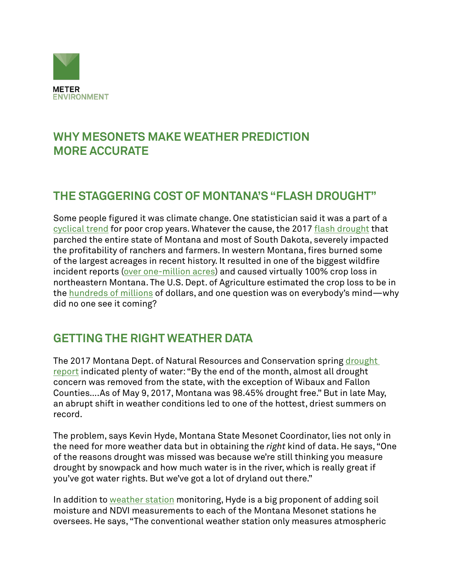

# **WHY MESONETS MAKE WEATHER PREDICTION MORE ACCURATE**

#### **THE STAGGERING COST OF MONTANA'S "FLASH DROUGHT"**

Some people figured it was climate change. One statistician said it was a part of a [cyclical trend](https://gacc.nifc.gov/nrcc/predictive/intelligence/ytd_historical/eoy/2017-eoy-state.htm) for poor crop years. Whatever the cause, the 2017 [flash drought](https://www.theguardian.com/environment/2017/sep/07/flash-drought-north-dakota-montana-wildfires) that parched the entire state of Montana and most of South Dakota, severely impacted the profitability of ranchers and farmers. In western Montana, fires burned some of the largest acreages in recent history. It resulted in one of the biggest wildfire incident reports ([over one-million acres\)](https://gacc.nifc.gov/nrcc/predictive/intelligence/ytd_historical/eoy/2017-eoy-state.htm) and caused virtually 100% crop loss in northeastern Montana. The U.S. Dept. of Agriculture estimated the crop loss to be in the [hundreds of millions](https://gacc.nifc.gov/nrcc/predictive/intelligence/ytd_historical/eoy/2017-eoy-state.htm) of dollars, and one question was on everybody's mind—why did no one see it coming?

## **GETTING THE RIGHT WEATHER DATA**

The 2017 Montana Dept. of Natural Resources and Conservation spring drought [report](http://dnrc.mt.gov/divisions/water/drought-management/drought-report-documents) indicated plenty of water: "By the end of the month, almost all drought concern was removed from the state, with the exception of Wibaux and Fallon Counties….As of May 9, 2017, Montana was 98.45% drought free." But in late May, an abrupt shift in weather conditions led to one of the hottest, driest summers on record.

The problem, says Kevin Hyde, Montana State Mesonet Coordinator, lies not only in the need for more weather data but in obtaining the *right* kind of data. He says, "One of the reasons drought was missed was because we're still thinking you measure drought by snowpack and how much water is in the river, which is really great if you've got water rights. But we've got a lot of dryland out there."

In addition to [weather station](https://www.metergroup.com/meter_knowledgebase/weather-sensor-comparison-scientific-weather-station-performance-data-2/) monitoring, Hyde is a big proponent of adding soil moisture and NDVI measurements to each of the Montana Mesonet stations he oversees. He says, "The conventional weather station only measures atmospheric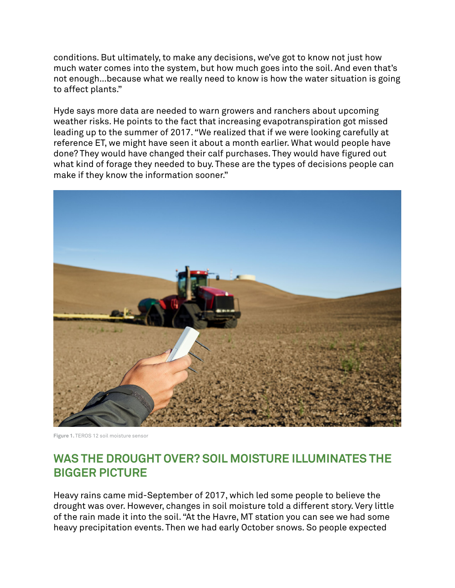conditions. But ultimately, to make any decisions, we've got to know not just how much water comes into the system, but how much goes into the soil. And even that's not enough…because what we really need to know is how the water situation is going to affect plants."

Hyde says more data are needed to warn growers and ranchers about upcoming weather risks. He points to the fact that increasing evapotranspiration got missed leading up to the summer of 2017. "We realized that if we were looking carefully at reference ET, we might have seen it about a month earlier. What would people have done? They would have changed their calf purchases. They would have figured out what kind of forage they needed to buy. These are the types of decisions people can make if they know the information sooner."



**Figure 1.** TEROS 12 soil moisture sensor

## **WAS THE DROUGHT OVER? SOIL MOISTURE ILLUMINATES THE BIGGER PICTURE**

Heavy rains came mid-September of 2017, which led some people to believe the drought was over. However, changes in soil moisture told a different story. Very little of the rain made it into the soil. "At the Havre, MT station you can see we had some heavy precipitation events. Then we had early October snows. So people expected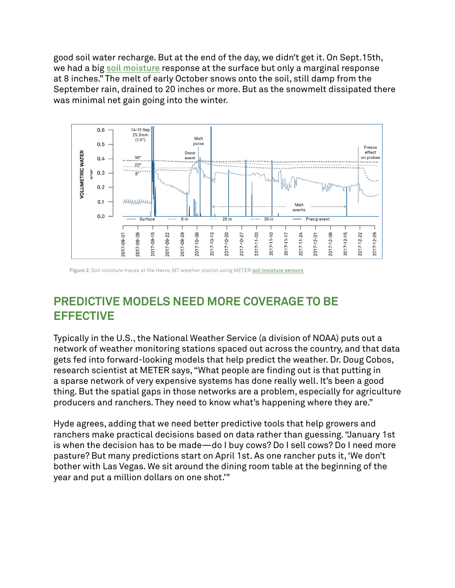good soil water recharge. But at the end of the day, we didn't get it. On Sept.15th, we had a big [soil moisture](https://www.metergroup.com/meter_knowledgebase/which-soil-sensor-is-perfect-for-you/) response at the surface but only a marginal response at 8 inches." The melt of early October snows onto the soil, still damp from the September rain, drained to 20 inches or more. But as the snowmelt dissipated there was minimal net gain going into the winter.



Figure 2. Soil moisture traces at the Havre, MT weather station using METER [soil moisture sensors](https://www.metergroup.com/meter_knowledgebase/which-soil-sensor-is-perfect-for-you/)

# **PREDICTIVE MODELS NEED MORE COVERAGE TO BE EFFECTIVE**

Typically in the U.S., the National Weather Service (a division of NOAA) puts out a network of weather monitoring stations spaced out across the country, and that data gets fed into forward-looking models that help predict the weather. Dr. Doug Cobos, research scientist at METER says, "What people are finding out is that putting in a sparse network of very expensive systems has done really well. It's been a good thing. But the spatial gaps in those networks are a problem, especially for agriculture producers and ranchers. They need to know what's happening where they are."

Hyde agrees, adding that we need better predictive tools that help growers and ranchers make practical decisions based on data rather than guessing. "January 1st is when the decision has to be made—do I buy cows? Do I sell cows? Do I need more pasture? But many predictions start on April 1st. As one rancher puts it, 'We don't bother with Las Vegas. We sit around the dining room table at the beginning of the year and put a million dollars on one shot.'"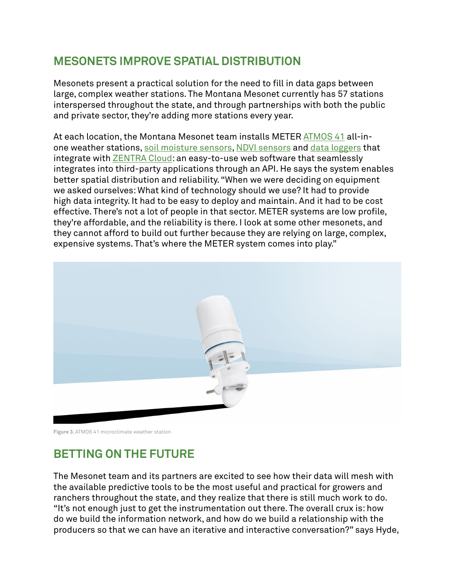# **MESONETS IMPROVE SPATIAL DISTRIBUTION**

Mesonets present a practical solution for the need to fill in data gaps between large, complex weather stations. The Montana Mesonet currently has 57 stations interspersed throughout the state, and through partnerships with both the public and private sector, they're adding more stations every year.

At each location, the Montana Mesonet team installs METER [ATMOS 41](https://www.metergroup.com/meter_products/atmos-41-weather-station/) all-inone weather stations, [soil moisture sensors](https://www.metergroup.com/environment/products/?product_category=9534), [NDVI sensors](https://www.metergroup.com/meter_knowledgebase/buy-browse-meter-legacy-canopy-measurement-sensors/) and [data loggers](https://www.metergroup.com/meter_products/zl6/) that integrate with [ZENTRA Cloud:](https://www.metergroup.com/environment/zentra-cloud/) an easy-to-use web software that seamlessly integrates into third-party applications through an API. He says the system enables better spatial distribution and reliability. "When we were deciding on equipment we asked ourselves: What kind of technology should we use? It had to provide high data integrity. It had to be easy to deploy and maintain. And it had to be cost effective. There's not a lot of people in that sector. METER systems are low profile, they're affordable, and the reliability is there. I look at some other mesonets, and they cannot afford to build out further because they are relying on large, complex, expensive systems. That's where the METER system comes into play."



**Figure 3.** ATMOS 41 microclimate weather station

## **BETTING ON THE FUTURE**

The Mesonet team and its partners are excited to see how their data will mesh with the available predictive tools to be the most useful and practical for growers and ranchers throughout the state, and they realize that there is still much work to do. "It's not enough just to get the instrumentation out there. The overall crux is: how do we build the information network, and how do we build a relationship with the producers so that we can have an iterative and interactive conversation?" says Hyde,